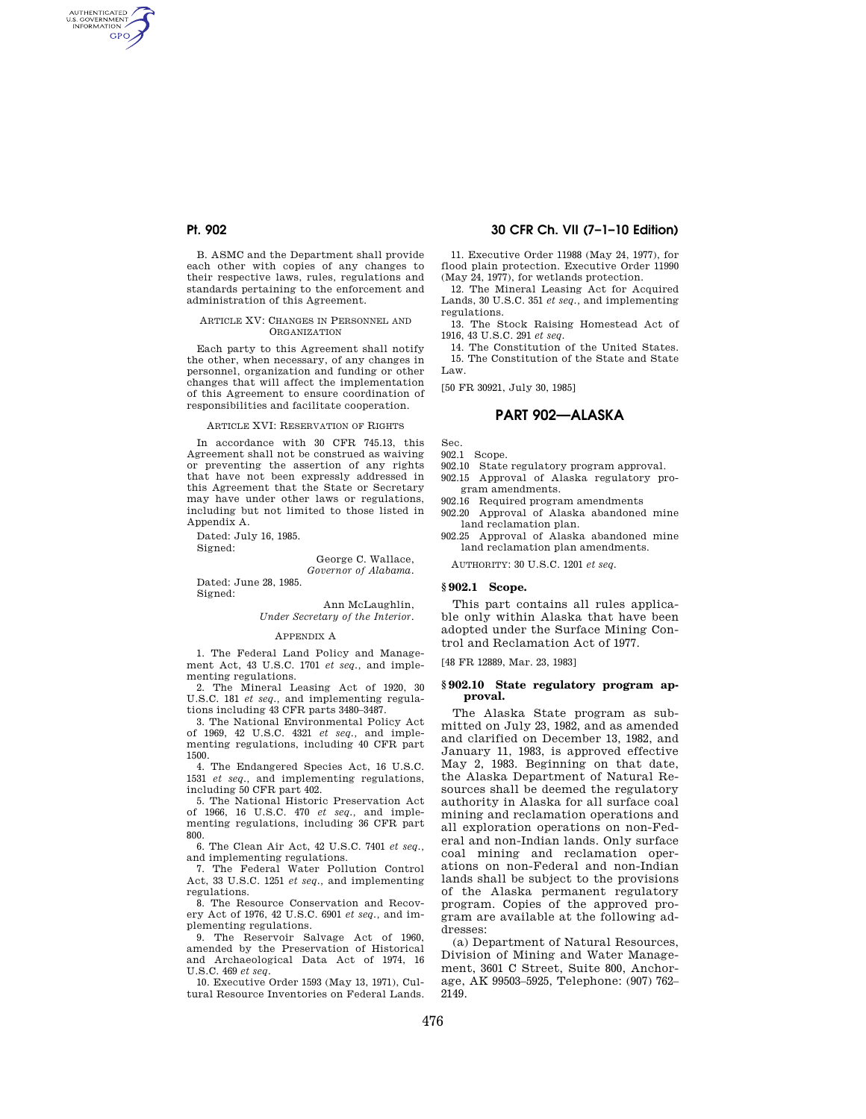AUTHENTICATED<br>U.S. GOVERNMENT<br>INFORMATION **GPO** 

> B. ASMC and the Department shall provide each other with copies of any changes to their respective laws, rules, regulations and standards pertaining to the enforcement and administration of this Agreement.

## ARTICLE XV: CHANGES IN PERSONNEL AND **ORGANIZATION**

Each party to this Agreement shall notify the other, when necessary, of any changes in personnel, organization and funding or other changes that will affect the implementation of this Agreement to ensure coordination of responsibilities and facilitate cooperation.

## ARTICLE XVI: RESERVATION OF RIGHTS

In accordance with 30 CFR 745.13, this Agreement shall not be construed as waiving or preventing the assertion of any rights that have not been expressly addressed in this Agreement that the State or Secretary may have under other laws or regulations, including but not limited to those listed in Appendix A.

Dated: July 16, 1985.

Signed:

George C. Wallace, *Governor of Alabama.* 

Dated: June 28, 1985.

Signed:

Ann McLaughlin, *Under Secretary of the Interior.* 

#### APPENDIX A

1. The Federal Land Policy and Management Act, 43 U.S.C. 1701 *et seq.,* and implementing regulations.

2. The Mineral Leasing Act of 1920, 30 U.S.C. 181 *et seq.,* and implementing regulations including 43 CFR parts 3480–3487.

3. The National Environmental Policy Act of 1969, 42 U.S.C. 4321 *et seq.,* and implementing regulations, including 40 CFR part 1500.

4. The Endangered Species Act, 16 U.S.C. 1531 *et seq.,* and implementing regulations, including 50 CFR part 402.

5. The National Historic Preservation Act of 1966, 16 U.S.C. 470 *et seq.,* and implementing regulations, including 36 CFR part 800.

6. The Clean Air Act, 42 U.S.C. 7401 *et seq.,*  and implementing regulations.

7. The Federal Water Pollution Control Act, 33 U.S.C. 1251 *et seq.,* and implementing regulations.

8. The Resource Conservation and Recovery Act of 1976, 42 U.S.C. 6901 *et seq.,* and implementing regulations.

9. The Reservoir Salvage Act of 1960, amended by the Preservation of Historical and Archaeological Data Act of 1974, 16 U.S.C. 469 *et seq*.

10. Executive Order 1593 (May 13, 1971), Cultural Resource Inventories on Federal Lands.

# **Pt. 902 30 CFR Ch. VII (7–1–10 Edition)**

11. Executive Order 11988 (May 24, 1977), for flood plain protection. Executive Order 11990 (May 24, 1977), for wetlands protection.

12. The Mineral Leasing Act for Acquired Lands, 30 U.S.C. 351 *et seq.,* and implementing regulations.

13. The Stock Raising Homestead Act of 1916, 43 U.S.C. 291 *et seq.* 

14. The Constitution of the United States. 15. The Constitution of the State and State Law.

[50 FR 30921, July 30, 1985]

# **PART 902—ALASKA**

Sec. 902.1 Scope.

902.10 State regulatory program approval.

- 902.15 Approval of Alaska regulatory pro-
- gram amendments.
- 902.16 Required program amendments
- 902.20 Approval of Alaska abandoned mine land reclamation plan.
- 902.25 Approval of Alaska abandoned mine land reclamation plan amendments.

AUTHORITY: 30 U.S.C. 1201 *et seq.* 

### **§ 902.1 Scope.**

This part contains all rules applicable only within Alaska that have been adopted under the Surface Mining Control and Reclamation Act of 1977.

[48 FR 12889, Mar. 23, 1983]

#### **§ 902.10 State regulatory program approval.**

The Alaska State program as submitted on July 23, 1982, and as amended and clarified on December 13, 1982, and January 11, 1983, is approved effective May 2, 1983. Beginning on that date, the Alaska Department of Natural Resources shall be deemed the regulatory authority in Alaska for all surface coal mining and reclamation operations and all exploration operations on non-Federal and non-Indian lands. Only surface coal mining and reclamation operations on non-Federal and non-Indian lands shall be subject to the provisions of the Alaska permanent regulatory program. Copies of the approved program are available at the following addresses:

(a) Department of Natural Resources, Division of Mining and Water Management, 3601 C Street, Suite 800, Anchorage, AK 99503–5925, Telephone: (907) 762– 2149.